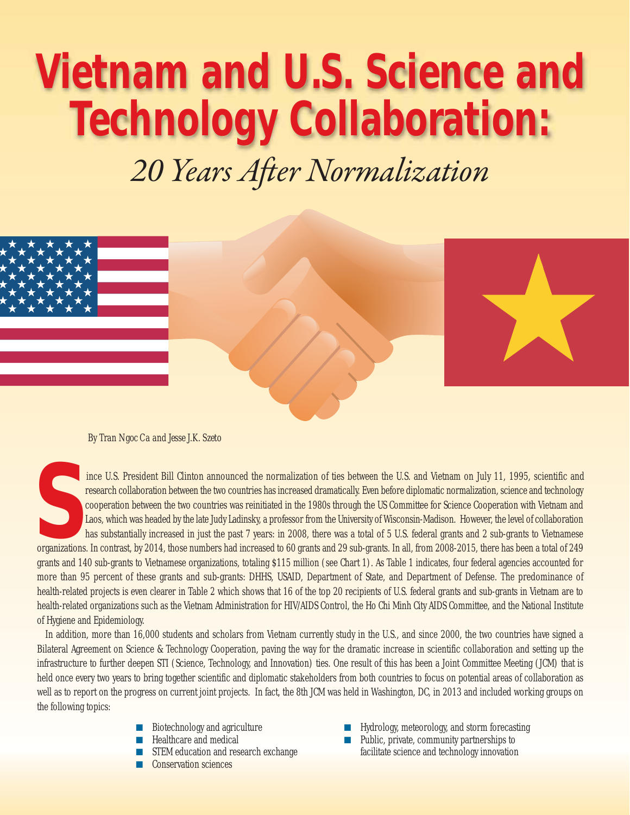# **Vietnam and U.S. Science and Technology Collaboration:**

*20 Years After Normalization*



*By Tran Ngoc Ca and Jesse J.K. Szeto*

Fresident Bill Clinton announced the normalization of ties between the U.S. and Vietnam on July 11, 1995, scientific and<br>
research collaboration between the two countries was reinitiated in the 1980s through the US Committ ince U.S. President Bill Clinton announced the normalization of ties between the U.S. and Vietnam on July 11, 1995, scientific and research collaboration between the two countries has increased dramatically. Even before diplomatic normalization, science and technology cooperation between the two countries was reinitiated in the 1980s through the US Committee for Science Cooperation with Vietnam and Laos, which was headed by the late Judy Ladinsky, a professor from the University of Wisconsin-Madison. However, the level of collaboration has substantially increased in just the past 7 years: in 2008, there was a total of 5 U.S. federal grants and 2 sub-grants to Vietnamese grants and 140 sub-grants to Vietnamese organizations, totaling \$115 million (see Chart 1). As Table 1 indicates, four federal agencies accounted for more than 95 percent of these grants and sub-grants: DHHS, USAID, Department of State, and Department of Defense. The predominance of health-related projects is even clearer in Table 2 which shows that 16 of the top 20 recipients of U.S. federal grants and sub-grants in Vietnam are to health-related organizations such as the Vietnam Administration for HIV/AIDS Control, the Ho Chi Minh City AIDS Committee, and the National Institute of Hygiene and Epidemiology.

In addition, more than 16,000 students and scholars from Vietnam currently study in the U.S., and since 2000, the two countries have signed a Bilateral Agreement on Science & Technology Cooperation, paving the way for the dramatic increase in scientific collaboration and setting up the infrastructure to further deepen STI (Science, Technology, and Innovation) ties. One result of this has been a Joint Committee Meeting (JCM) that is held once every two years to bring together scientific and diplomatic stakeholders from both countries to focus on potential areas of collaboration as well as to report on the progress on current joint projects. In fact, the 8th JCM was held in Washington, DC, in 2013 and included working groups on the following topics:

- Biotechnology and agriculture
- Healthcare and medical
- STEM education and research exchange
- **Conservation sciences**
- Hydrology, meteorology, and storm forecasting
- Public, private, community partnerships to facilitate science and technology innovation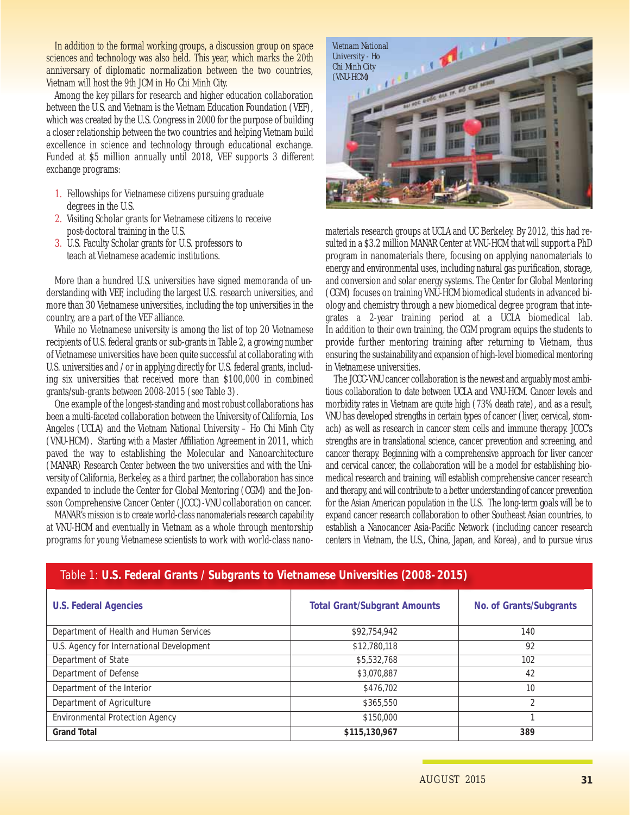In addition to the formal working groups, a discussion group on space sciences and technology was also held. This year, which marks the 20th anniversary of diplomatic normalization between the two countries, Vietnam will host the 9th JCM in Ho Chi Minh City.

Among the key pillars for research and higher education collaboration between the U.S. and Vietnam is the Vietnam Education Foundation (VEF), which was created by the U.S. Congress in 2000 for the purpose of building a closer relationship between the two countries and helping Vietnam build excellence in science and technology through educational exchange. Funded at \$5 million annually until 2018, VEF supports 3 different exchange programs:

- 1. Fellowships for Vietnamese citizens pursuing graduate degrees in the U.S.
- 2. Visiting Scholar grants for Vietnamese citizens to receive post-doctoral training in the U.S.
- 3. U.S. Faculty Scholar grants for U.S. professors to teach at Vietnamese academic institutions.

More than a hundred U.S. universities have signed memoranda of understanding with VEF, including the largest U.S. research universities, and more than 30 Vietnamese universities, including the top universities in the country, are a part of the VEF alliance.

While no Vietnamese university is among the list of top 20 Vietnamese recipients of U.S. federal grants or sub-grants in Table 2, a growing number of Vietnamese universities have been quite successful at collaborating with U.S. universities and / or in applying directly for U.S. federal grants, including six universities that received more than \$100,000 in combined grants/sub-grants between 2008-2015 (see Table 3).

One example of the longest-standing and most robust collaborations has been a multi-faceted collaboration between the University of California, Los Angeles (UCLA) and the Vietnam National University – Ho Chi Minh City (VNU-HCM). Starting with a Master Affiliation Agreement in 2011, which paved the way to establishing the Molecular and Nanoarchitecture (MANAR) Research Center between the two universities and with the University of California, Berkeley, as a third partner, the collaboration has since expanded to include the Center for Global Mentoring (CGM) and the Jonsson Comprehensive Cancer Center (JCCC)-VNU collaboration on cancer.

MANAR's mission is to create world-class nanomaterials research capability at VNU-HCM and eventually in Vietnam as a whole through mentorship programs for young Vietnamese scientists to work with world-class nano-



materials research groups at UCLA and UC Berkeley. By 2012, this had resulted in a \$3.2 million MANAR Center at VNU-HCM that will support a PhD program in nanomaterials there, focusing on applying nanomaterials to energy and environmental uses, including natural gas purification, storage, and conversion and solar energy systems. The Center for Global Mentoring (CGM) focuses on training VNU-HCM biomedical students in advanced biology and chemistry through a new biomedical degree program that integrates a 2-year training period at a UCLA biomedical lab. In addition to their own training, the CGM program equips the students to provide further mentoring training after returning to Vietnam, thus ensuring the sustainability and expansion of high-level biomedical mentoring in Vietnamese universities.

The JCCC-VNU cancer collaboration is the newest and arguably most ambitious collaboration to date between UCLA and VNU-HCM. Cancer levels and morbidity rates in Vietnam are quite high (73% death rate), and as a result, VNU has developed strengths in certain types of cancer (liver, cervical, stomach) as well as research in cancer stem cells and immune therapy. JCCC's strengths are in translational science, cancer prevention and screening, and cancer therapy. Beginning with a comprehensive approach for liver cancer and cervical cancer, the collaboration will be a model for establishing biomedical research and training, will establish comprehensive cancer research and therapy, and will contribute to a better understanding of cancer prevention for the Asian American population in the U.S. The long-term goals will be to expand cancer research collaboration to other Southeast Asian countries, to establish a Nanocancer Asia-Pacific Network (including cancer research centers in Vietnam, the U.S., China, Japan, and Korea), and to pursue virus

| <b>U.S. Federal Agencies</b>              | <b>Total Grant/Subgrant Amounts</b> | No. of Grants/Subgrants |  |  |
|-------------------------------------------|-------------------------------------|-------------------------|--|--|
| Department of Health and Human Services   | \$92,754,942                        | 140                     |  |  |
| U.S. Agency for International Development | \$12,780,118                        | 92                      |  |  |
| Department of State                       | \$5,532,768                         | 102                     |  |  |
| Department of Defense                     | \$3,070,887                         | 42                      |  |  |
| Department of the Interior                | \$476,702                           | 10                      |  |  |
| Department of Agriculture                 | \$365,550                           | $\mathfrak{D}$          |  |  |
| <b>Environmental Protection Agency</b>    | \$150,000                           |                         |  |  |
| <b>Grand Total</b>                        | \$115,130,967                       | 389                     |  |  |

## Table 1: **U.S. Federal Grants / Subgrants to Vietnamese Universities (2008-2015)**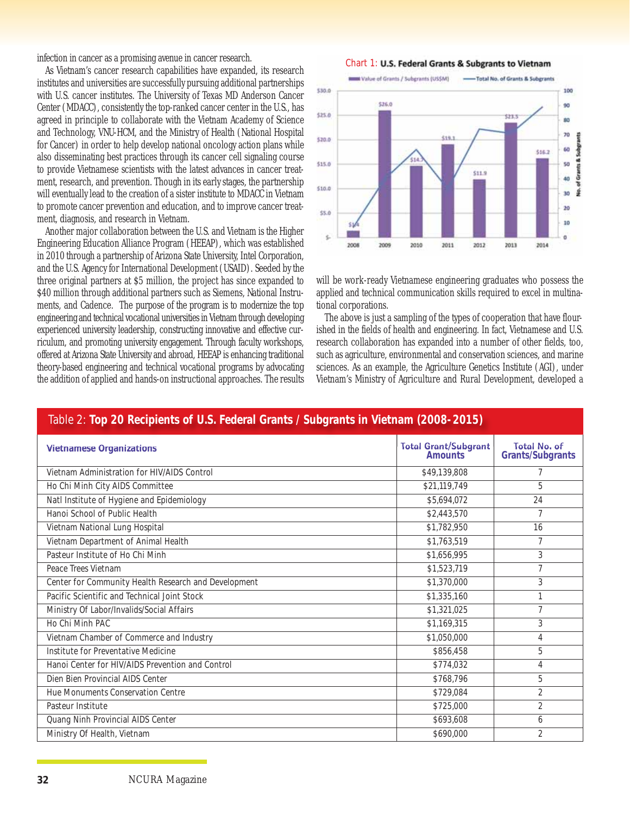infection in cancer as a promising avenue in cancer research.

As Vietnam's cancer research capabilities have expanded, its research institutes and universities are successfully pursuing additional partnerships with U.S. cancer institutes. The University of Texas MD Anderson Cancer Center (MDACC), consistently the top-ranked cancer center in the U.S., has agreed in principle to collaborate with the Vietnam Academy of Science and Technology, VNU-HCM, and the Ministry of Health (National Hospital for Cancer) in order to help develop national oncology action plans while also disseminating best practices through its cancer cell signaling course to provide Vietnamese scientists with the latest advances in cancer treatment, research, and prevention. Though in its early stages, the partnership will eventually lead to the creation of a sister institute to MDACC in Vietnam to promote cancer prevention and education, and to improve cancer treatment, diagnosis, and research in Vietnam.

Another major collaboration between the U.S. and Vietnam is the Higher Engineering Education Alliance Program (HEEAP), which was established in 2010 through a partnership of Arizona State University, Intel Corporation, and the U.S. Agency for International Development (USAID). Seeded by the three original partners at \$5 million, the project has since expanded to \$40 million through additional partners such as Siemens, National Instruments, and Cadence. The purpose of the program is to modernize the top engineering and technical vocational universities in Vietnam through developing experienced university leadership, constructing innovative and effective curriculum, and promoting university engagement. Through faculty workshops, offered at Arizona State University and abroad, HEEAP is enhancing traditional theory-based engineering and technical vocational programs by advocating the addition of applied and hands-on instructional approaches. The results





will be work-ready Vietnamese engineering graduates who possess the applied and technical communication skills required to excel in multinational corporations.

The above is just a sampling of the types of cooperation that have flourished in the fields of health and engineering. In fact, Vietnamese and U.S. research collaboration has expanded into a number of other fields, too, such as agriculture, environmental and conservation sciences, and marine sciences. As an example, the Agriculture Genetics Institute (AGI), under Vietnam's Ministry of Agriculture and Rural Development, developed a

### Table 2: **Top 20 Recipients of U.S. Federal Grants / Subgrants in Vietnam (2008-2015)**

| <b>Vietnamese Organizations</b>                      | Total Grant/Subgrant | Total No. of<br><b>Grants/Subgrants</b> |
|------------------------------------------------------|----------------------|-----------------------------------------|
| Vietnam Administration for HIV/AIDS Control          | \$49,139,808         | 7                                       |
| Ho Chi Minh City AIDS Committee                      | \$21,119,749         | 5                                       |
| Natl Institute of Hygiene and Epidemiology           | \$5,694,072          | 24                                      |
| Hanoi School of Public Health                        | \$2,443,570          | $\overline{7}$                          |
| Vietnam National Lung Hospital                       | \$1,782,950          | 16                                      |
| Vietnam Department of Animal Health                  | \$1,763,519          | 7                                       |
| Pasteur Institute of Ho Chi Minh                     | \$1,656,995          | 3                                       |
| Peace Trees Vietnam                                  | \$1,523,719          | $\overline{7}$                          |
| Center for Community Health Research and Development | \$1,370,000          | 3                                       |
| Pacific Scientific and Technical Joint Stock         | \$1,335,160          |                                         |
| Ministry Of Labor/Invalids/Social Affairs            | \$1,321,025          | $\overline{7}$                          |
| Ho Chi Minh PAC                                      | \$1,169,315          | 3                                       |
| Vietnam Chamber of Commerce and Industry             | \$1,050,000          | 4                                       |
| Institute for Preventative Medicine                  | \$856,458            | 5                                       |
| Hanoi Center for HIV/AIDS Prevention and Control     | \$774,032            | 4                                       |
| Dien Bien Provincial AIDS Center                     | \$768,796            | 5                                       |
| Hue Monuments Conservation Centre                    | \$729,084            | $\overline{2}$                          |
| Pasteur Institute                                    | \$725,000            | $\overline{2}$                          |
| Quang Ninh Provincial AIDS Center                    | \$693,608            | 6                                       |
| Ministry Of Health, Vietnam                          | \$690,000            | $\overline{2}$                          |